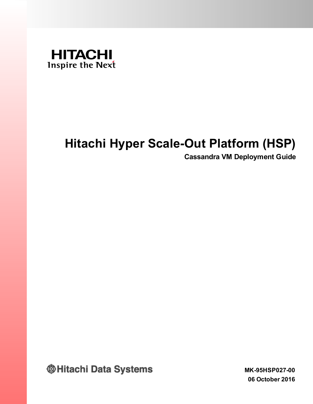

# **Hitachi Hyper Scale-Out Platform (HSP)**

**Cassandra VM Deployment Guide**

**@Hitachi Data Systems** 

**MK-95HSP027-00 06 October 2016**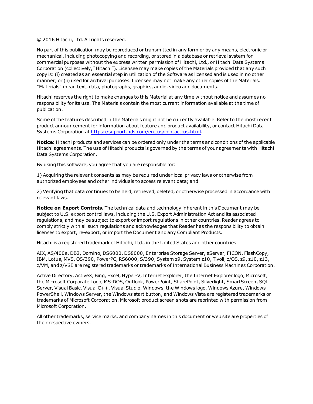© 2016 Hitachi, Ltd. All rights reserved.

No part of this publication may be reproduced or transmitted in any form or by any means, electronic or mechanical, including photocopying and recording, or stored in a database or retrieval system for commercial purposes without the express written permission of Hitachi, Ltd., or Hitachi Data Systems Corporation (collectively, "Hitachi"). Licensee may make copies of the Materials provided that any such copy is: (i) created as an essential step in utilization of the Software as licensed and is used in no other manner; or (ii) used for archival purposes. Licensee may not make any other copies of the Materials. "Materials" mean text, data, photographs, graphics, audio, video and documents.

Hitachi reserves the right to make changes to this Material at any time without notice and assumes no responsibility for its use. The Materials contain the most current information available at the time of publication.

Some of the features described in the Materials might not be currently available. Refer to the most recent product announcement for information about feature and product availability, or contact Hitachi Data Systems Corporation at [https://support.hds.com/en\\_us/contact-us.html](https://support.hds.com/en_us/contact-us.html).

**Notice:** Hitachi products and services can be ordered only under the terms and conditions of the applicable Hitachi agreements. The use of Hitachi products is governed by the terms of your agreements with Hitachi Data Systems Corporation.

By using this software, you agree that you are responsible for:

1) Acquiring the relevant consents as may be required under local privacy laws or otherwise from authorized employees and other individuals to access relevant data; and

2) Verifying that data continues to be held, retrieved, deleted, or otherwise processed in accordance with relevant laws.

**Notice on Export Controls.** The technical data and technology inherent in this Document may be subject to U.S. export control laws, including the U.S. Export Administration Act and its associated regulations, and may be subject to export or import regulations in other countries. Reader agrees to comply strictly with all such regulations and acknowledges that Reader has the responsibility to obtain licenses to export, re-export, or import the Document and any Compliant Products.

Hitachi is a registered trademark of Hitachi, Ltd., in the United States and other countries.

AIX, AS/400e, DB2, Domino, DS6000, DS8000, Enterprise Storage Server, eServer, FICON, FlashCopy, IBM, Lotus, MVS, OS/390, PowerPC, RS6000, S/390, System z9, System z10, Tivoli, z/OS, z9, z10, z13, z/VM, and z/VSE are registered trademarks or trademarks of International Business Machines Corporation.

Active Directory, ActiveX, Bing, Excel, Hyper-V, Internet Explorer, the Internet Explorer logo, Microsoft, the Microsoft Corporate Logo, MS-DOS, Outlook, PowerPoint, SharePoint, Silverlight, SmartScreen, SQL Server, Visual Basic, Visual C++, Visual Studio, Windows, the Windows logo, Windows Azure, Windows PowerShell, Windows Server, the Windows start button, and Windows Vista are registered trademarks or trademarks of Microsoft Corporation. Microsoft product screen shots are reprinted with permission from Microsoft Corporation.

All other trademarks, service marks, and company names in this document or web site are properties of their respective owners.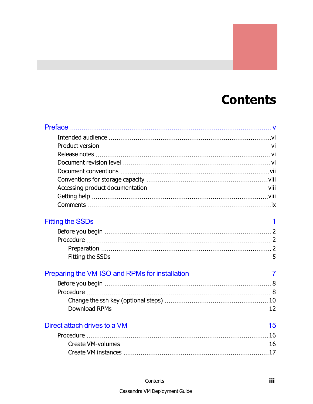# **Contents**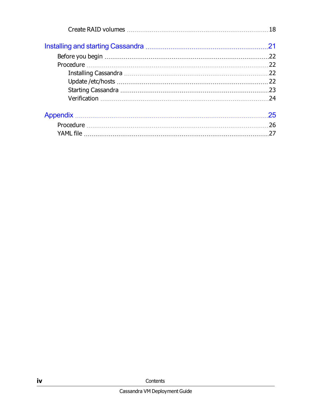| 18 |
|----|
| 21 |
| 22 |
| 22 |
| 22 |
| 22 |
| 23 |
| 24 |
| 25 |
| 26 |
|    |
|    |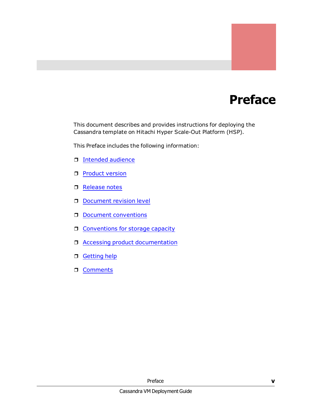# **Preface**

<span id="page-4-0"></span>This document describes and provides instructions for deploying the Cassandra template on Hitachi Hyper Scale-Out Platform (HSP).

This Preface includes the following information:

- ❒ [Intended](#page-5-0) audience
- ❒ [Product](#page-5-1) version
- ❒ [Release](#page-5-2) notes
- **□ [Document](#page-5-3) revision level**
- ❒ Document [conventions](#page-6-0)
- **□** [Conventions](#page-7-0) for storage capacity
- **□** Accessing product [documentation](#page-7-1)
- □ [Getting](#page-7-2) help
- ❒ [Comments](#page-8-0)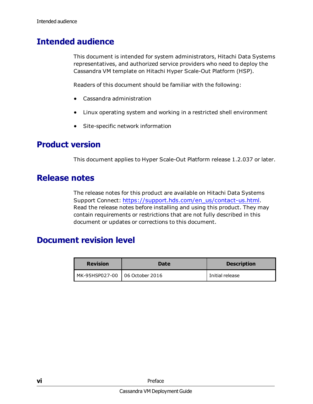# <span id="page-5-0"></span>**Intended audience**

This document is intended for system administrators, Hitachi Data Systems representatives, and authorized service providers who need to deploy the Cassandra VM template on Hitachi Hyper Scale-Out Platform (HSP).

Readers of this document should be familiar with the following:

- Cassandra administration
- Linux operating system and working in a restricted shell environment
- Site-specific network information

# <span id="page-5-1"></span>**Product version**

This document applies to Hyper Scale-Out Platform release 1.2.037 or later.

## <span id="page-5-2"></span>**Release notes**

The release notes for this product are available on Hitachi Data Systems Support Connect: [https://support.hds.com/en\\_us/contact-us.html](https://support.hds.com/en_us/contact-us.html). Read the release notes before installing and using this product. They may contain requirements or restrictions that are not fully described in this document or updates or corrections to this document.

# <span id="page-5-3"></span>**Document revision level**

| <b>Revision</b>                  | Date | <b>Description</b> |
|----------------------------------|------|--------------------|
| MK-95HSP027-00   06 October 2016 |      | Initial release    |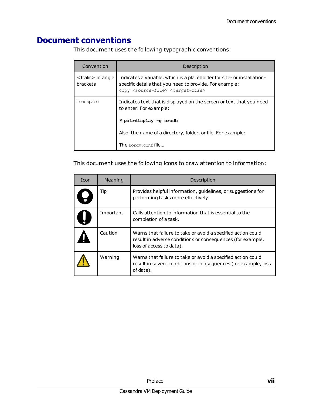# <span id="page-6-0"></span>**Document conventions**

This document uses the following typographic conventions:

| Convention                              | Description                                                                                                                                                                                        |
|-----------------------------------------|----------------------------------------------------------------------------------------------------------------------------------------------------------------------------------------------------|
| <italic> in angle<br/>brackets</italic> | Indicates a variable, which is a placeholder for site- or installation-<br>specific details that you need to provide. For example:<br>copy <source-file> <target-file></target-file></source-file> |
| monospace                               | Indicates text that is displayed on the screen or text that you need<br>to enter. For example:                                                                                                     |
|                                         | # pairdisplay $-q$ oradb                                                                                                                                                                           |
|                                         | Also, the name of a directory, folder, or file. For example:                                                                                                                                       |
|                                         | The horcm, confifile                                                                                                                                                                               |

This document uses the following icons to draw attention to information:

| Icon | Meaning   | Description                                                                                                                                            |
|------|-----------|--------------------------------------------------------------------------------------------------------------------------------------------------------|
| ĕ    | Tip       | Provides helpful information, guidelines, or suggestions for<br>performing tasks more effectively.                                                     |
|      | Important | Calls attention to information that is essential to the<br>completion of a task.                                                                       |
|      | Caution   | Warns that failure to take or avoid a specified action could<br>result in adverse conditions or consequences (for example,<br>loss of access to data). |
|      | Warning   | Warns that failure to take or avoid a specified action could<br>result in severe conditions or consequences (for example, loss<br>of data).            |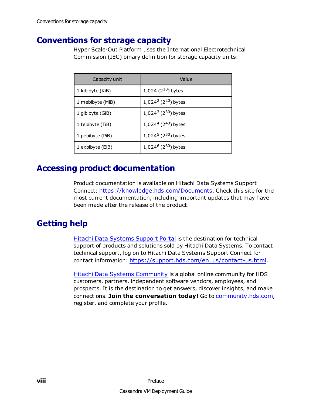# <span id="page-7-0"></span>**Conventions for storage capacity**

Hyper Scale-Out Platform uses the International Electrotechnical Commission (IEC) binary definition for storage capacity units:

| Capacity unit    | Value                              |
|------------------|------------------------------------|
| 1 kibibyte (KiB) | $1,024$ (2 <sup>10</sup> ) bytes   |
| 1 mebibyte (MiB) | $1,024^2(2^{20})$ bytes            |
| 1 gibibyte (GiB) | $1,024^3(2^{30})$ bytes            |
| 1 tebibyte (TiB) | $1,0244$ (2 <sup>40</sup> ) bytes  |
| 1 pebibyte (PiB) | $1,0245$ (2 <sup>50</sup> ) bytes  |
| 1 exbibyte (EiB) | $1,024^6$ (2 <sup>60</sup> ) bytes |

# <span id="page-7-1"></span>**Accessing product documentation**

Product documentation is available on Hitachi Data Systems Support Connect: <https://knowledge.hds.com/Documents>. Check this site for the most current documentation, including important updates that may have been made after the release of the product.

# <span id="page-7-2"></span>**Getting help**

Hitachi Data [Systems](https://support.hds.com/) Support Portal is the destination for technical support of products and solutions sold by Hitachi Data Systems. To contact technical support, log on to Hitachi Data Systems Support Connect for contact information: [https://support.hds.com/en\\_us/contact-us.html](https://support.hds.com/en_us/contact-us.html).

Hitachi Data Systems [Community](https://community.hds.com/welcome) is a global online community for HDS customers, partners, independent software vendors, employees, and prospects. It is the destination to get answers, discover insights, and make connections. **Join the conversation today!** Go to [community.hds.com](http://community.hds.com/welcome), register, and complete your profile.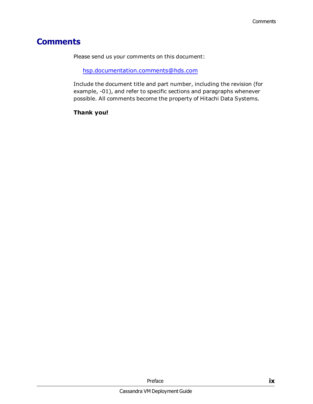# <span id="page-8-0"></span>**Comments**

Please send us your comments on this document:

[hsp.documentation.comments@hds.com](mailto:hsp.documentation.comments@hds.com)

Include the document title and part number, including the revision (for example, -01), and refer to specific sections and paragraphs whenever possible. All comments become the property of Hitachi Data Systems.

### **Thank you!**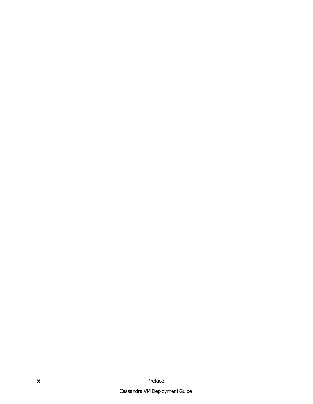**x** Preface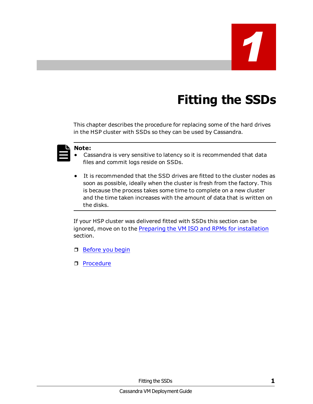# 1

# **Fitting the SSDs**

<span id="page-10-0"></span>This chapter describes the procedure for replacing some of the hard drives in the HSP cluster with SSDs so they can be used by Cassandra.



### **Note:**

- Cassandra is very sensitive to latency so it is recommended that data files and commit logs reside on SSDs.
- It is recommended that the SSD drives are fitted to the cluster nodes as soon as possible, ideally when the cluster is fresh from the factory. This is because the process takes some time to complete on a new cluster and the time taken increases with the amount of data that is written on the disks.

If your HSP cluster was delivered fitted with SSDs this section can be ignored, move on to the Preparing the VM ISO and RPMs for [installation](#page-16-0) section.

- ❒ [Before](#page-11-0) you begin
- ❒ [Procedure](#page-11-1)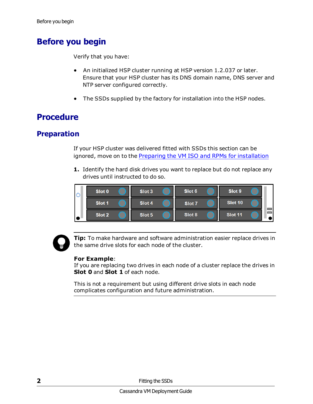# <span id="page-11-0"></span>**Before you begin**

Verify that you have:

- An initialized HSP cluster running at HSP version 1.2.037 or later. Ensure that your HSP cluster has its DNS domain name, DNS server and NTP server configured correctly.
- The SSDs supplied by the factory for installation into the HSP nodes.

# <span id="page-11-1"></span>**Procedure**

### <span id="page-11-2"></span>**Preparation**

If your HSP cluster was delivered fitted with SSDs this section can be ignored, move on to the Preparing the VM ISO and RPMs for [installation](#page-16-0)

**1.** Identify the hard disk drives you want to replace but do not replace any drives until instructed to do so.

| Slot 0 | Slot 3 | Slot 6 | Slot 9  |
|--------|--------|--------|---------|
| Slot 1 | Slot 4 | Slot 7 | Slot 10 |
| Slot 2 | Slot 5 | Slot 8 | Slot 11 |



**Tip:** To make hardware and software administration easier replace drives in the same drive slots for each node of the cluster.

### **For Example**:

If you are replacing two drives in each node of a cluster replace the drives in **Slot 0** and **Slot 1** of each node.

This is not a requirement but using different drive slots in each node complicates configuration and future administration.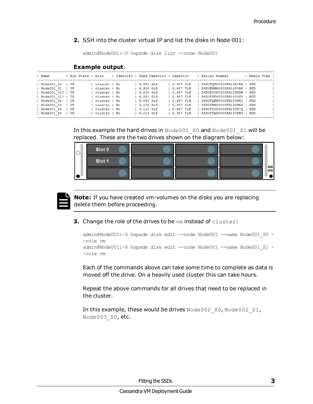### **2.** SSH into the cluster virtual IP and list the disks in Node 001:

admin@Node001:~\$ hspadm disk list --node Node001

#### **Example output**:

| Name                                                                                                         |                                                | Run State   Role |                                                                                                              | Identify |                                                                                         | Used Capacity | Capacity                                                                                                |  | Serial Number                                                                                                                                                        | Media Type                                    |  |
|--------------------------------------------------------------------------------------------------------------|------------------------------------------------|------------------|--------------------------------------------------------------------------------------------------------------|----------|-----------------------------------------------------------------------------------------|---------------|---------------------------------------------------------------------------------------------------------|--|----------------------------------------------------------------------------------------------------------------------------------------------------------------------|-----------------------------------------------|--|
| Node001 S0<br>  Node001 S1<br>  Node001 S10<br>  Node001 S11<br>  Node001 S2<br>  Node001 S3<br>  Node001 S4 | I UP<br>I UP<br>UP<br>I UP<br>I UP<br>UP<br>UP |                  | cluster   No<br>cluster   No<br>cluster   No<br>cluster   No<br>cluster   No<br>cluster   No<br>cluster   No |          | 4.993 GiB<br>6.909 GiB<br>5.224 GiB<br>6.551 GiB<br>6.092 GiB<br>5.152 GiB<br>4.122 GiB |               | 5.457 TiB<br>$I$ 5.457 TiB<br>1 5.457 TiB<br>  5.457 TiB<br>$I$ 5.457 TiB<br>5.457 TiB<br>$I$ 5.457 TiB |  | S4D0FQPY0000K614E7RD<br>S4D0EWWA0000K6145VAP<br>S4D0EY0P0000K612FMDW<br>S4D0FSE40000K61509S5<br>S4D0FOEM0000K6150WX1<br>S4D0FRW30000K6150WRJ<br>S4D0FSJZ0000K6150X70 | HDD<br>HDD<br>HDD<br>HDD<br>HDD<br>HDD<br>HDD |  |
| Node001 S5                                                                                                   | UP                                             |                  | cluster   No                                                                                                 |          | 6.014 GiB                                                                               |               | 5.457 TiB                                                                                               |  | S4D0FSAS0000K6150XW3                                                                                                                                                 | HDD                                           |  |

In this example the hard drives in Node001\_S0 and Node001\_S1 will be replaced. These are the two drives shown on the diagram below:





**Note:** If you have created vm-volumes on the disks you are replacing delete them before proceeding.

**3.** Change the role of the drives to be vm instead of cluster:

```
admin@Node001:~$ hspadm disk edit --node Node001 --name Node001 S0 -
-role vm
admin@Node001:~$ hspadm disk edit --node Node001 --name Node001 S1 -
-role vm
```
Each of the commands above can take some time to complete as data is moved off the drive. On a heavily used cluster this can take hours.

Repeat the above commands for all drives that need to be replaced in the cluster.

In this example, these would be drives Node002 S0, Node002 S1, Node003 S0, etc.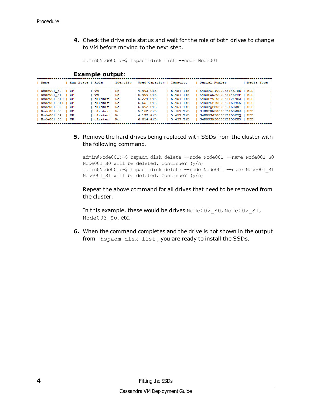**4.** Check the drive role status and wait for the role of both drives to change to VM before moving to the next step.

admin@Node001:~\$ hspadm disk list --node Node001

**Example output**:

| Name             | Run State   Role |              | Identify   Used Capacity |              |  | Capacity  |  | Serial Number        | Media Type I |  |
|------------------|------------------|--------------|--------------------------|--------------|--|-----------|--|----------------------|--------------|--|
| Node001 SO       | I UP             | vm           | I No                     | 4.993 GiB    |  | 5.457 TiB |  | S4D0FQPY0000K614E7RD | HDD          |  |
| Node001 S1       | I UP             | vm           | l No                     | 6.909 GHz    |  | 5.457 TiB |  | S4D0EWWA0000K6145VAP | HDD          |  |
| Node001 S10   UP |                  | cluster   No |                          | $I5.224$ GiB |  | 5.457 TiB |  | S4D0EY0P0000K612FMDW | HDD          |  |
| Node001 S11      | I UP             | cluster   No |                          | 16.551GHz    |  | 5.457 TiB |  | S4D0FSE40000K61509S5 | HDD          |  |
| Node001 S2       | I UP             | cluster   No |                          | 6.092 GiB    |  | 5.457 TiB |  | S4D0FOEM0000K6150WX1 | HDD          |  |
| Node001 S3       | I UP             | cluster   No |                          | 1 5.152 GiB  |  | 5.457 TiB |  | S4D0FRW30000K6150WRJ | HDD          |  |
| Node001 S4       | I UP             | cluster   No |                          | 4.122 GiB    |  | 5.457 TiB |  | S4D0FSJZ0000K6150X7Q | HDD          |  |
| Node001 S5       | UP               | cluster   No |                          | 6.014 GiB    |  | 5.457 TiB |  | S4D0FSAS0000K6150XW3 | HDD          |  |
|                  |                  |              |                          |              |  |           |  |                      |              |  |

**5.** Remove the hard drives being replaced with SSDs from the cluster with the following command.

admin@Node001:~\$ hspadm disk delete --node Node001 --name Node001 S0 Node001 S0 will be deleted. Continue? (y/n) admin@Node001:~\$ hspadm disk delete --node Node001 --name Node001 S1 Node001 S1 will be deleted. Continue? (y/n)

Repeat the above command for all drives that need to be removed from the cluster.

In this example, these would be drives Node002\_S0, Node002\_S1, Node003 S0, etc.

**6.** When the command completes and the drive is not shown in the output from hspadm disk list, you are ready to install the SSDs.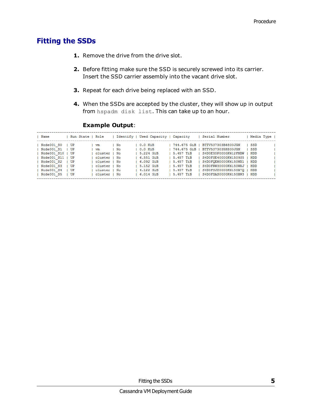### <span id="page-14-0"></span>**Fitting the SSDs**

- **1.** Remove the drive from the drive slot.
- **2.** Before fitting make sure the SSD is securely screwed into its carrier. Insert the SSD carrier assembly into the vacant drive slot.
- **3.** Repeat for each drive being replaced with an SSD.
- **4.** When the SSDs are accepted by the cluster, they will show up in output from hspadm disk list. This can take up to an hour.

| I Name      | Run State I | Role         | Identify 1 |           | Used Capacity | Capacity    | Serial Number        | Media Type |  |
|-------------|-------------|--------------|------------|-----------|---------------|-------------|----------------------|------------|--|
| Node001 SO  | UP          | vm           | l No       | $0.0$ KiB |               | 744.675 GiB | BTTV537303B6800JGN   | SSD        |  |
| Node001 S1  | UP          | vm           | I No       | 0.0 KiB   |               | 744.675 GiB | BTTV5373035H800JGN   | SSD        |  |
| Node001 S10 | UP          | cluster   No |            |           | 5.224 GiB     | 5.457 TiB   | S4D0EY0P0000K612FMDW | HDD        |  |
| Node001 S11 | UP          | cluster   No |            |           | 6.551 GiB     | 1 5.457 TiB | S4D0FSE40000K61509S5 | HDD        |  |
| Node001 S2  | UP          | cluster   No |            |           | 6.092 GiB     | 1 5.457 TiB | S4D0FOEM0000K6150WX1 | HDD        |  |
| Node001 S3  | UP          | cluster   No |            |           | 5.152 GiB     | 5.457 TiB   | S4D0FRW30000K6150WRJ | HDD        |  |
| Node001 S4  | UP          | cluster   No |            |           | 4.122 GiB     | 5.457 TiB   | S4D0FSJZ0000K6150X70 | HDD        |  |
| Node001 S5  | UP          | cluster   No |            |           | 6.014 GiB     | 5.457 TiB   | S4D0FSAS0000K6150XW3 | HDD        |  |

### **Example Output**:

Fitting the SSDs **5**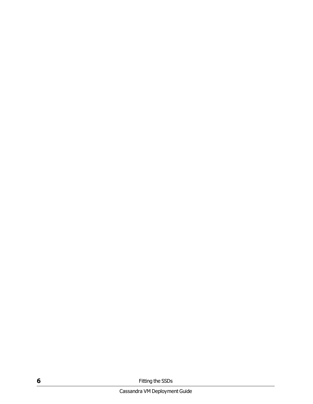**6** Fitting the SSDs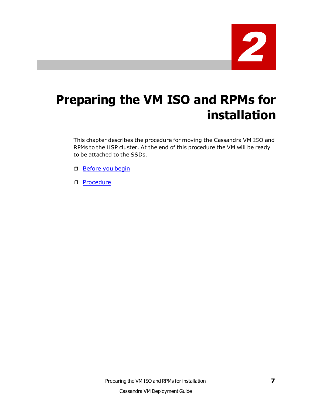# 2

# <span id="page-16-0"></span>**Preparing the VM ISO and RPMs for installation**

This chapter describes the procedure for moving the Cassandra VM ISO and RPMs to the HSP cluster. At the end of this procedure the VM will be ready to be attached to the SSDs.

- ❒ [Before](#page-17-0) you begin
- ❒ [Procedure](#page-17-1)

Preparing the VM ISO and RPMs for installation **7**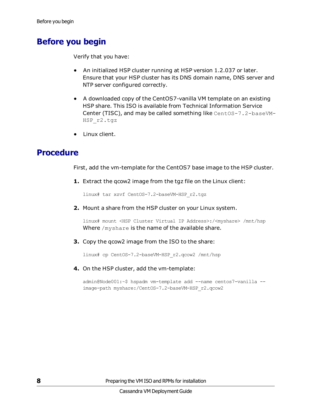# <span id="page-17-0"></span>**Before you begin**

Verify that you have:

- An initialized HSP cluster running at HSP version 1.2.037 or later. Ensure that your HSP cluster has its DNS domain name, DNS server and NTP server configured correctly.
- A downloaded copy of the CentOS7-vanilla VM template on an existing HSP share. This ISO is available from Technical Information Service Center (TISC), and may be called something like CentOS-7.2-baseVM-HSP\_r2.tgz
- Linux client.

## <span id="page-17-1"></span>**Procedure**

First, add the vm-template for the CentOS7 base image to the HSP cluster.

**1.** Extract the qcow2 image from the tgz file on the Linux client:

linux# tar xzvf CentOS-7.2-baseVM-HSP\_r2.tgz

**2.** Mount a share from the HSP cluster on your Linux system.

linux# mount <HSP Cluster Virtual IP Address>:/<myshare> /mnt/hsp Where /myshare is the name of the available share.

**3.** Copy the qcow2 image from the ISO to the share:

linux# cp CentOS-7.2-baseVM-HSP\_r2.qcow2 /mnt/hsp

**4.** On the HSP cluster, add the vm-template:

admin@Node001:~\$ hspadm vm-template add --name centos7-vanilla - image-path myshare:/CentOS-7.2-baseVM-HSP\_r2.qcow2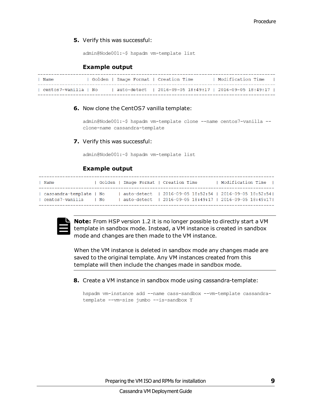#### **5.** Verify this was successful:

admin@Node001:~\$ hspadm vm-template list

### **Example output**

| Golden | Image Format | Creation Time | | Modification Time | | Name | centos7-vanilla | No | auto-detect | 2016-09-05 18:49:17 | 2016-09-05 18:49:17 | 

### **6.** Now clone the CentOS7 vanilla template:

admin@Node001:~\$ hspadm vm-template clone --name centos7-vanilla -clone-name cassandra-template

### **7.** Verify this was successful:

admin@Node001:~\$ hspadm vm-template list

### **Example output**

```
| Golden | Image Format | Creation Time
I Name
                                                 | Modification Time |
| auto-detect | 2016-09-05 18:52:54 | 2016-09-05 18:52:54 |<br>| auto-detect | 2016-09-05 18:49:17 | 2016-09-05 18:49:17 |
| cassandra-template | No
| centos7-vanilla | No
```


**Note:** From HSP version 1.2 it is no longer possible to directly start a VM template in sandbox mode. Instead, a VM instance is created in sandbox mode and changes are then made to the VM instance.

When the VM instance is deleted in sandbox mode any changes made are saved to the original template. Any VM instances created from this template will then include the changes made in sandbox mode.

**8.** Create a VM instance in sandbox mode using cassandra-template:

hspadm vm-instance add --name cass-sandbox --vm-template cassandratemplate --vm-size jumbo --is-sandbox Y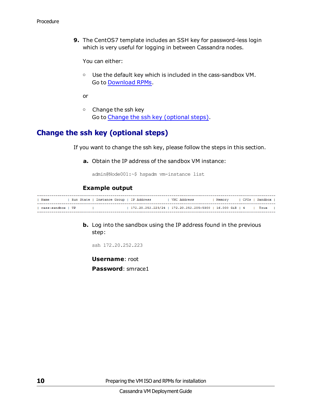**9.** The CentOS7 template includes an SSH key for password-less login which is very useful for logging in between Cassandra nodes.

You can either:

 $\circ$  Use the default key which is included in the cass-sandbox VM. Go to [Download](#page-21-0) RPMs.

or

 $\circ$  Change the ssh key Go to Change the ssh key [\(optional](#page-19-0) steps).

### <span id="page-19-0"></span>**Change the ssh key (optional steps)**

If you want to change the ssh key, please follow the steps in this section.

**a.** Obtain the IP address of the sandbox VM instance:

admin@Node001:~\$ hspadm vm-instance list

### **Example output**

| Name                |  |  | Run State   Instance Group   IP Address |  |  |  | VNC Address                                              | Memorv |  |  | I CPUs I Sandbox I |  |
|---------------------|--|--|-----------------------------------------|--|--|--|----------------------------------------------------------|--------|--|--|--------------------|--|
| ' cass-sandbox   UP |  |  |                                         |  |  |  | 172.20.252.223/24   172.20.252.205:5900   16.000 GiB   4 |        |  |  | l True             |  |

**b.** Log into the sandbox using the IP address found in the previous step:

ssh 172.20.252.223

**Username**: root **Password**: smrace1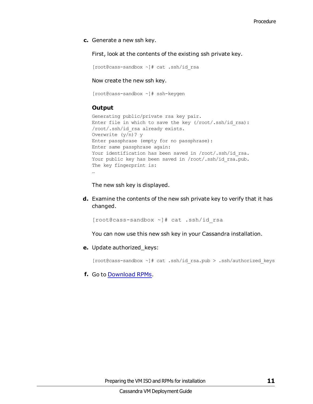**c.** Generate a new ssh key.

First, look at the contents of the existing ssh private key.

[root@cass-sandbox ~]# cat .ssh/id\_rsa

Now create the new ssh key.

[root@cass-sandbox ~]# ssh-keygen

### **Output**

Generating public/private rsa key pair. Enter file in which to save the key (/root/.ssh/id rsa): /root/.ssh/id\_rsa already exists. Overwrite (y/n)? y Enter passphrase (empty for no passphrase): Enter same passphrase again: Your identification has been saved in /root/.ssh/id rsa. Your public key has been saved in /root/.ssh/id rsa.pub. The key fingerprint is: …

The new ssh key is displayed.

**d.** Examine the contents of the new ssh private key to verify that it has changed.

[root@cass-sandbox ~]# cat .ssh/id\_rsa

You can now use this new ssh key in your Cassandra installation.

**e.** Update authorized\_keys:

[root@cass-sandbox ~]# cat .ssh/id\_rsa.pub > .ssh/authorized\_keys

**f.** Go to [Download](#page-21-0) RPMs.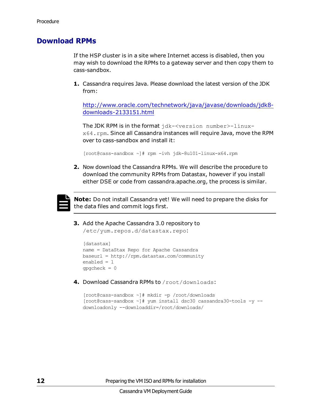### <span id="page-21-0"></span>**Download RPMs**

If the HSP cluster is in a site where Internet access is disabled, then you may wish to download the RPMs to a gateway server and then copy them to cass-sandbox.

**1.** Cassandra requires Java. Please download the latest version of the JDK from:

[http://www.oracle.com/technetwork/java/javase/downloads/jdk8](http://www.oracle.com/technetwork/java/javase/downloads/jdk8-downloads-2133151.html) [downloads-2133151.html](http://www.oracle.com/technetwork/java/javase/downloads/jdk8-downloads-2133151.html)

The JDK RPM is in the format jdk-<version number>-linuxx64.rpm. Since all Cassandra instances will require Java, move the RPM over to cass-sandbox and install it:

[root@cass-sandbox ~]# rpm -ivh jdk-8u101-linux-x64.rpm

**2.** Now download the Cassandra RPMs. We will describe the procedure to download the community RPMs from Datastax, however if you install either DSE or code from cassandra.apache.org, the process is similar.



**Note:** Do not install Cassandra yet! We will need to prepare the disks for the data files and commit logs first.

**3.** Add the Apache Cassandra 3.0 repository to

```
/etc/yum.repos.d/datastax.repo:
```

```
[datastax]
name = DataStax Repo for Apache Cassandra
baseurl = http://rpm.dataatax.com/communityenabled = 1
qpgcheck = 0
```
**4.** Download Cassandra RPMs to /root/downloads:

```
[root@cass-sandbox ~]# mkdir -p /root/downloads
[root@cass-sandbox ~]# yum install dsc30 cassandra30-tools -y --
downloadonly --downloaddir=/root/downloads/
```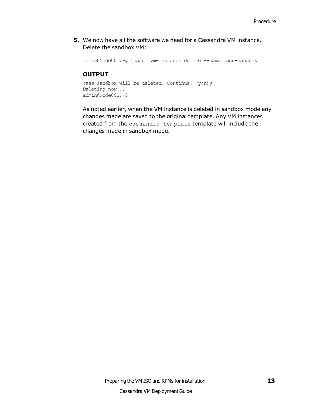**5.** We now have all the software we need for a Cassandra VM instance. Delete the sandbox VM:

admin@Node001:~\$ hspadm vm-instance delete --name cass-sandbox

### **OUTPUT**

```
cass-sandbox will be deleted. Continue? (y/n)yDeleting now...
admin@Node001:~$
```
As noted earlier, when the VM instance is deleted in sandbox mode any changes made are saved to the original template. Any VM instances created from the cassandra-template template will include the changes made in sandbox mode.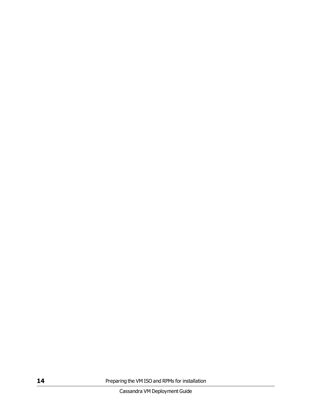**14** Preparing the VM ISO and RPMs for installation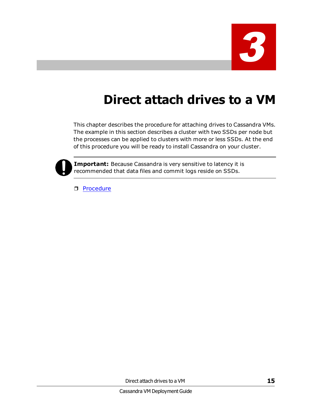

# **Direct attach drives to a VM**

<span id="page-24-0"></span>This chapter describes the procedure for attaching drives to Cassandra VMs. The example in this section describes a cluster with two SSDs per node but the processes can be applied to clusters with more or less SSDs. At the end of this procedure you will be ready to install Cassandra on your cluster.



**Important:** Because Cassandra is very sensitive to latency it is recommended that data files and commit logs reside on SSDs.

❒ [Procedure](#page-25-0)

Direct attach drives to a VM **15**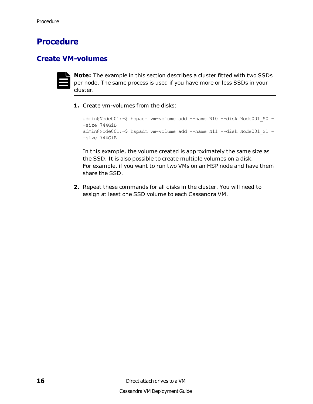# <span id="page-25-1"></span><span id="page-25-0"></span>**Procedure**

### **Create VM-volumes**



**Note:** The example in this section describes a cluster fitted with two SSDs per node. The same process is used if you have more or less SSDs in your cluster.

**1.** Create vm-volumes from the disks:

```
admin@Node001:~$ hspadm vm-volume add --name N10 --disk Node001 S0 -
-size 744GiB
admin@Node001:~$ hspadm vm-volume add --name N11 --disk Node001 S1 -
-size 744GiB
```
In this example, the volume created is approximately the same size as the SSD. It is also possible to create multiple volumes on a disk. For example, if you want to run two VMs on an HSP node and have them share the SSD.

**2.** Repeat these commands for all disks in the cluster. You will need to assign at least one SSD volume to each Cassandra VM.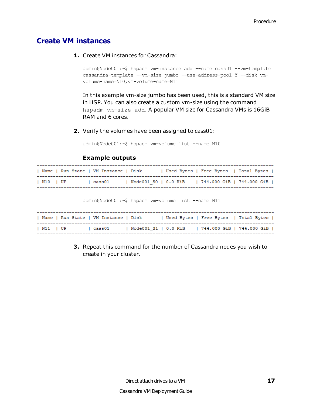### <span id="page-26-0"></span>**Create VM instances**

**1.** Create VM instances for Cassandra:

```
admin@Node001:~$ hspadm vm-instance add --name cass01 --vm-template
cassandra-template --vm-size jumbo --use-address-pool Y --disk vm-
volume-name=N10,vm-volume-name=N11
```
In this example vm-size jumbo has been used, this is a standard VM size in HSP. You can also create a custom vm-size using the command hspadm vm-size add. A popular VM size for Cassandra VMs is 16GiB RAM and 6 cores.

**2.** Verify the volumes have been assigned to cass01:

admin@Node001:~\$ hspadm vm-volume list --name N10

### **Example outputs**

|          |  |  | Name   Run State   VM Instance   Disk |                                                  |  |  | Used Bytes   Free Bytes   Total Bytes |  |  |  |
|----------|--|--|---------------------------------------|--------------------------------------------------|--|--|---------------------------------------|--|--|--|
| IN10 IUP |  |  | l cass01                              | Node001 S0   0.0 KiB   744.000 GiB   744.000 GiB |  |  |                                       |  |  |  |

admin@Node001:~\$ hspadm vm-volume list --name N11

|  |  |          |  | Name   Run State   VM Instance   Disk |  |  |  | Used Bytes   Free Bytes   Total Bytes            |
|--|--|----------|--|---------------------------------------|--|--|--|--------------------------------------------------|
|  |  | N11   UP |  | cass01                                |  |  |  | Node001 S1   0.0 KiB   744.000 GiB   744.000 GiB |

**3.** Repeat this command for the number of Cassandra nodes you wish to create in your cluster.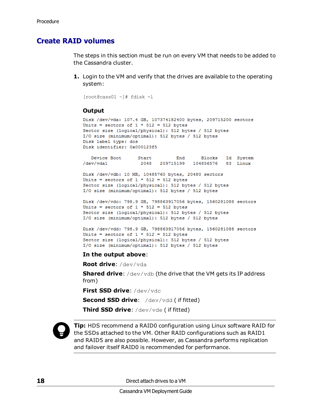### <span id="page-27-0"></span>**Create RAID volumes**

The steps in this section must be run on every VM that needs to be added to the Cassandra cluster.

**1.** Login to the VM and verify that the drives are available to the operating system:

```
[root@cass01 ~]# fdisk -l
```
### **Output**

```
Disk /dev/vda: 107.4 GB, 107374182400 bytes, 209715200 sectors
Units = sectors of 1 * 512 = 512 bytes
Sector size (logical/physical): 512 bytes / 512 bytes
I/O size (minimum/optimal): 512 bytes / 512 bytes
Disk label type: dos
Disk identifier: 0x000123f5
```
Device Boot Start End Blocks Id System 2048 209715199 104856576 83 Linux /dev/vda1

```
Disk /dev/vdb: 10 MB, 10485760 bytes, 20480 sectors
Units = sectors of 1 * 512 = 512 bytes
Sector size (logical/physical): 512 bytes / 512 bytes
I/O size (minimum/optimal): 512 bytes / 512 bytes
```
Disk /dev/vdc: 798.9 GB, 798863917056 bytes, 1560281088 sectors Units = sectors of  $1 * 512 = 512$  bytes Sector size (logical/physical): 512 bytes / 512 bytes I/O size (minimum/optimal): 512 bytes / 512 bytes

```
Disk /dev/vdd: 798.9 GB, 798863917056 bytes, 1560281088 sectors
Units = sectors of 1 * 512 = 512 bytes
Sector size (logical/physical): 512 bytes / 512 bytes
I/O size (minimum/optimal): 512 bytes / 512 bytes
```
**In the output above**:

**Root drive**: /dev/vda

**Shared drive:** /dev/vdb (the drive that the VM gets its IP address from)

**First SSD drive**: /dev/vdc

**Second SSD drive**: /dev/vdd ( if fitted)

**Third SSD drive**: /dev/vde ( if fitted)



**Tip:** HDS recommend a RAID0 configuration using Linux software RAID for the SSDs attached to the VM. Other RAID configurations such as RAID1 and RAID5 are also possible. However, as Cassandra performs replication and failover itself RAID0 is recommended for performance.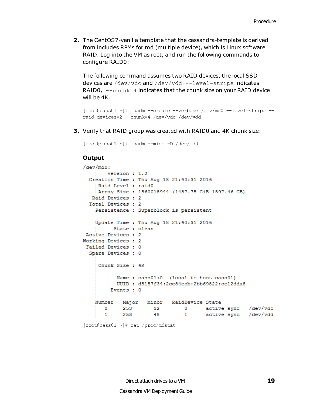**2.** The CentOS7-vanilla template that the cassandra-template is derived from includes RPMs for md (multiple device), which is Linux software RAID. Log into the VM as root, and run the following commands to configure RAID0:

The following command assumes two RAID devices, the local SSD devices are /dev/vdc and /dev/vdd. --level=stripe indicates  $RAID0, --chunk=4$  indicates that the chunk size on your RAID device will be 4K.

```
[root@cass01 ~]# mdadm --create --verbose /dev/md0 --level=stripe --
raid-devices=2 --chunk=4 /dev/vdc /dev/vdd
```
**3.** Verify that RAID group was created with RAID0 and 4K chunk size:

[root@cass01 ~]# mdadm --misc -D /dev/md0

### **Output**

```
/\text{dev/mol}:Version : 1.2
  Creation Time : Thu Aug 18 21:40:31 2016
     Raid Level : raid0
    Array Size : 1560018944 (1487.75 GiB 1597.46 GB)
  Raid Devices : 2
  Total Devices : 2
    Persistence : Superblock is persistent
    Update Time : Thu Aug 18 21:40:31 2016
         State : clean
 Active Devices : 2
Working Devices : 2
 Failed Devices : 0
  Spare Devices : 0
     Chunk Size : 4K
           Name : cass01:0 (local to host cass01)
          UUID : d5157f34:2ce84ecb:2bb69822:ce12dda8
         Events : 0Number Major Minor RaidDevice State
       \overline{0}253
                       32
                             0 active sync
                                                      /dev/vdc
            253
                                                      /dev/vdd
       \mathbf{1}48 - 10
                                \mathbf{1}active sync
```
[root@cass01 ~]# cat /proc/mdstat

Direct attach drives to a VM **19**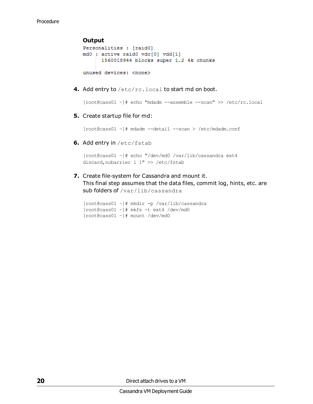### **Output**

```
Personalities : [raid0]
md0 : active raid0 vdc[0] vdd[1]
      1560018944 blocks super 1.2 4k chunks
unused devices: <none>
```
**4.** Add entry to /etc/rc.local to start md on boot.

[root@cass01 ~]# echo "mdadm --assemble --scan" >> /etc/rc.local

### **5.** Create startup file for md:

[root@cass01 ~]# mdadm --detail --scan > /etc/mdadm.conf

**6.** Add entry in /etc/fstab

```
[root@cass01 ~]# echo "/dev/md0 /var/lib/cassandra ext4
discard, nobarrier 1 1" >> /etc/fstab
```
**7.** Create file-system for Cassandra and mount it. This final step assumes that the data files, commit log, hints, etc. are sub folders of /var/lib/cassandra

[root@cass01 ~]# mkdir -p /var/lib/cassandra [root@cass01 ~]# mkfs -t ext4 /dev/md0 [root@cass01 ~]# mount /dev/md0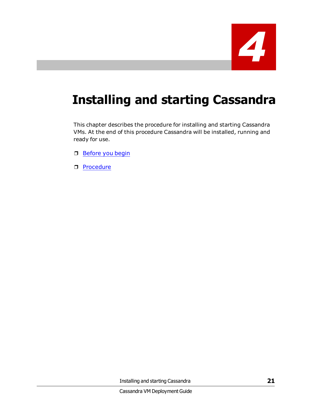# 4

# <span id="page-30-0"></span>**Installing and starting Cassandra**

This chapter describes the procedure for installing and starting Cassandra VMs. At the end of this procedure Cassandra will be installed, running and ready for use.

- □ [Before](#page-31-0) you begin
- ❒ [Procedure](#page-31-1)

Installing and starting Cassandra **21**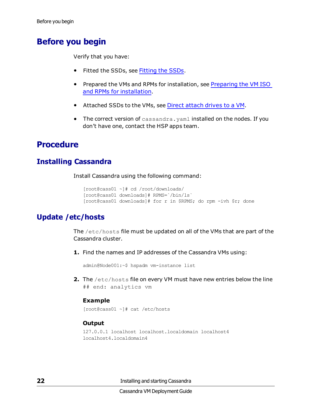# <span id="page-31-0"></span>**Before you begin**

Verify that you have:

- Fitted the SSDs, see [Fitting](#page-10-0) the SSDs.
- Prepared the VMs and RPMs for installation, see [Preparing](#page-16-0) the VM ISO and RPMs for [installation](#page-16-0).
- Attached SSDs to the VMs, see Direct [attach](#page-24-0) drives to a VM.
- The correct version of cassandra. yaml installed on the nodes. If you don't have one, contact the HSP apps team.

### <span id="page-31-2"></span><span id="page-31-1"></span>**Procedure**

### **Installing Cassandra**

Install Cassandra using the following command:

```
[root@cass01 ~]# cd /root/downloads/
[root@cass01 downloads]# RPMS=`/bin/ls`
[root@cass01 downloads]# for r in $RPMS; do rpm -ivh $r; done
```
### <span id="page-31-3"></span>**Update /etc/hosts**

The /etc/hosts file must be updated on all of the VMs that are part of the Cassandra cluster.

**1.** Find the names and IP addresses of the Cassandra VMs using:

admin@Node001:~\$ hspadm vm-instance list

**2.** The /etc/hosts file on every VM must have new entries below the line ## end: analytics vm

### **Example**

```
[root@cass01 ~]# cat /etc/hosts
```
### **Output**

```
127.0.0.1 localhost localhost.localdomain localhost4
localhost4.localdomain4
```
**22** Installing and starting Cassandra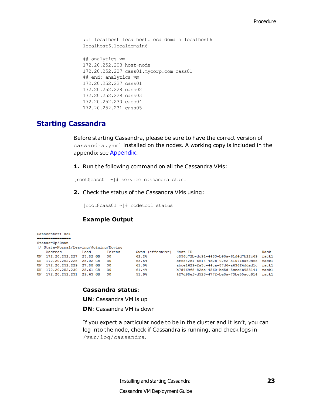::1 localhost localhost.localdomain localhost6 localhost6.localdomain6

```
## analytics vm
172.20.252.203 host-node
172.20.252.227 cass01.mycorp.com cass01
## end: analytics vm
172.20.252.227 cass01
172.20.252.228 cass02
172.20.252.229 cass03
172.20.252.230 cass04
172.20.252.231 cass05
```
### <span id="page-32-0"></span>**Starting Cassandra**

Before starting Cassandra, please be sure to have the correct version of cassandra.yaml installed on the nodes. A working copy is included in the appendix see [Appendix](#page-34-0).

**1.** Run the following command on all the Cassandra VMs:

[root@cass01 ~]# service cassandra start

**2.** Check the status of the Cassandra VMs using:

[root@cass01 ~]# nodetool status

### **Example Output**

| Datacenter: dc1                        |          |        |                  |                                        |       |  |  |  |  |  |  |  |  |
|----------------------------------------|----------|--------|------------------|----------------------------------------|-------|--|--|--|--|--|--|--|--|
| .                                      |          |        |                  |                                        |       |  |  |  |  |  |  |  |  |
| Status=Up/Down                         |          |        |                  |                                        |       |  |  |  |  |  |  |  |  |
| I/ State=Normal/Leaving/Joining/Moving |          |        |                  |                                        |       |  |  |  |  |  |  |  |  |
| -- Address                             | Load     | Tokens | Owns (effective) | Host ID                                | Rack  |  |  |  |  |  |  |  |  |
| UN 172,20,252,227 25.82 GB             |          | - 30   | 62.2%            | c856c72b-dc91-4483-b90a-61d4d7b22c69   | rack1 |  |  |  |  |  |  |  |  |
| UN 172.20.252.228                      | 28.02 GB | -30    | 63.5%            | bf6542c1-6614-4c2b-92e2-a1071ba69d65   | rack1 |  |  |  |  |  |  |  |  |
| UN 172.20.252.229                      | 27.88 GB | 30     | 61.0%            | $abcel629-fa3c-44ca-87d6-a636f4dded1c$ | rack1 |  |  |  |  |  |  |  |  |
| UN 172.20.252.230                      | 25.61 GB | 30     | 61.4%            | b7d469f8-82da-4560-bd5d-5cec4b953141   | rack1 |  |  |  |  |  |  |  |  |
| UN 172.20.252.231                      | 29.63 GB | 30     | 51.9%            | 427d98ef-d523-477f-be0a-73be55acc914   | rack1 |  |  |  |  |  |  |  |  |

### **Cassandra status**:

**UN**: Cassandra VM is up

**DN**: Cassandra VM is down

If you expect a particular node to be in the cluster and it isn't, you can log into the node, check if Cassandra is running, and check logs in /var/log/cassandra.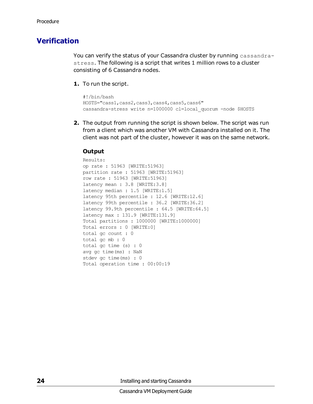### <span id="page-33-0"></span>**Verification**

You can verify the status of your Cassandra cluster by running cassandrastress. The following is a script that writes 1 million rows to a cluster consisting of 6 Cassandra nodes.

### **1.** To run the script.

```
#!/bin/bash
HOSTS="cass1,cass2,cass3,cass4,cass5,cass6"
cassandra-stress write n=1000000 cl=local_quorum -node $HOSTS
```
**2.** The output from running the script is shown below. The script was run from a client which was another VM with Cassandra installed on it. The client was not part of the cluster, however it was on the same network.

### **Output**

```
Results:
op rate : 51963 [WRITE:51963]
partition rate : 51963 [WRITE:51963]
row rate : 51963 [WRITE:51963]
latency mean : 3.8 [WRITE: 3.8]
latency median : 1.5 [WRITE:1.5]
latency 95th percentile : 12.6 [WRITE:12.6]
latency 99th percentile : 36.2 [WRITE: 36.2]
latency 99.9th percentile : 64.5 [WRITE:64.5]
latency max : 131.9 [WRITE:131.9]
Total partitions : 1000000 [WRITE:1000000]
Total errors : 0 [WRITE:0]
total gc count : 0
total gc mb : 0
total gc time (s) : 0
avg gc time(ms) : NaN
stdev gc time(ms) : 0
Total operation time : 00:00:19
```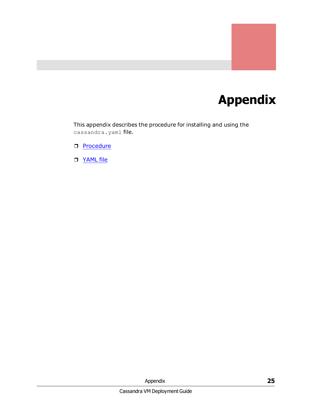# **Appendix**

<span id="page-34-0"></span>This appendix describes the procedure for installing and using the cassandra.yaml file.

- ❒ [Procedure](#page-35-0)
- ❒ [YAML](#page-36-0) file

Appendix **25**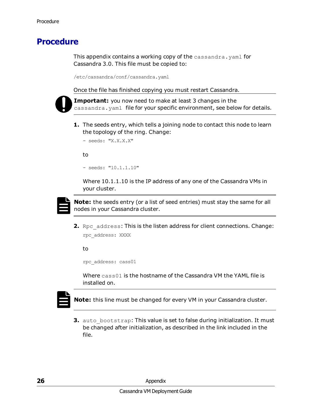# <span id="page-35-0"></span>**Procedure**

This appendix contains a working copy of the cassandra. yaml for Cassandra 3.0. This file must be copied to:

/etc/cassandra/conf/cassandra.yaml

Once the file has finished copying you must restart Cassandra.



**Important:** you now need to make at least 3 changes in the cassandra.yaml file for your specific environment, see below for details.

**1.** The seeds entry, which tells a joining node to contact this node to learn the topology of the ring. Change:

```
- seeds: "X.X.X.X"
```
to

```
- seeds: "10.1.1.10"
```
Where 10.1.1.10 is the IP address of any one of the Cassandra VMs in your cluster.



**Note:** the seeds entry (or a list of seed entries) must stay the same for all nodes in your Cassandra cluster.

**2.** Rpc address: This is the listen address for client connections. Change: rpc\_address: XXXX

to

```
rpc_address: cass01
```
Where cass01 is the hostname of the Cassandra VM the YAML file is installed on.



**Note:** this line must be changed for every VM in your Cassandra cluster.

**3.** auto bootstrap: This value is set to false during initialization. It must be changed after initialization, as described in the link included in the file.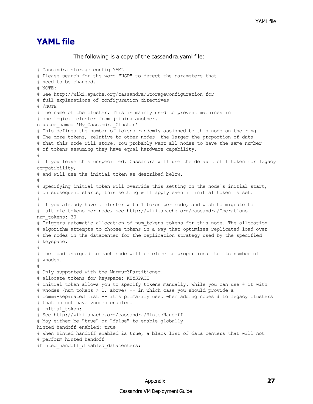## <span id="page-36-0"></span>**YAML file**

### The following is a copy of the cassandra.yaml file:

```
# Cassandra storage config YAML
# Please search for the word "HSP" to detect the parameters that
# need to be changed.
# NOTE:
# See http://wiki.apache.org/cassandra/StorageConfiguration for
# full explanations of configuration directives
# /NOTE
# The name of the cluster. This is mainly used to prevent machines in
# one logical cluster from joining another.
cluster name: 'My Cassandra Cluster'
# This defines the number of tokens randomly assigned to this node on the ring
# The more tokens, relative to other nodes, the larger the proportion of data
# that this node will store. You probably want all nodes to have the same number
# of tokens assuming they have equal hardware capability.
#
# If you leave this unspecified, Cassandra will use the default of 1 token for legacy
compatibility,
# and will use the initial token as described below.
#
# Specifying initial token will override this setting on the node's initial start,
# on subsequent starts, this setting will apply even if initial token is set.
#
# If you already have a cluster with 1 token per node, and wish to migrate to
# multiple tokens per node, see http://wiki.apache.org/cassandra/Operations
num_tokens: 30
# Triggers automatic allocation of num_tokens tokens for this node. The allocation
# algorithm attempts to choose tokens in a way that optimizes replicated load over
# the nodes in the datacenter for the replication strategy used by the specified
# keyspace.
#
# The load assigned to each node will be close to proportional to its number of
# vnodes.
#
# Only supported with the Murmur3Partitioner.
# allocate tokens for keyspace: KEYSPACE
# initial_token allows you to specify tokens manually. While you can use # it with
# vnodes (num tokens > 1, above) -- in which case you should provide a
# comma-separated list -- it's primarily used when adding nodes # to legacy clusters
# that do not have vnodes enabled.
# initial_token:
# See http://wiki.apache.org/cassandra/HintedHandoff
# May either be "true" or "false" to enable globally
hinted handoff enabled: true
# When hinted handoff enabled is true, a black list of data centers that will not
# perform hinted handoff
#hinted handoff disabled datacenters:
```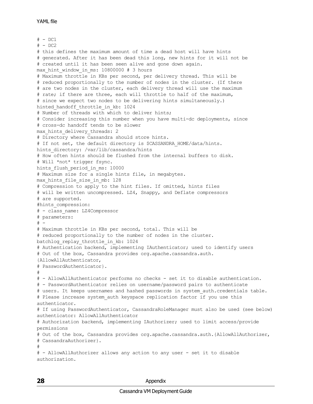```
# - DC1
# - DC2
# this defines the maximum amount of time a dead host will have hints
# generated. After it has been dead this long, new hints for it will not be
# created until it has been seen alive and gone down again.
max hint window in ms: 10800000 # 3 hours
# Maximum throttle in KBs per second, per delivery thread. This will be
# reduced proportionally to the number of nodes in the cluster. (If there
# are two nodes in the cluster, each delivery thread will use the maximum
# rate; if there are three, each will throttle to half of the maximum,
# since we expect two nodes to be delivering hints simultaneously.)
hinted handoff throttle in kb: 1024
# Number of threads with which to deliver hints;
# Consider increasing this number when you have multi-dc deployments, since
# cross-dc handoff tends to be slower
max hints delivery threads: 2
# Directory where Cassandra should store hints.
# If not set, the default directory is $CASSANDRA_HOME/data/hints.
hints directory: /var/lib/cassandra/hints
# How often hints should be flushed from the internal buffers to disk.
# Will *not* trigger fsync.
hints flush period in ms: 10000
# Maximum size for a single hints file, in megabytes.
max_hints_file_size_in_mb: 128
# Compression to apply to the hint files. If omitted, hints files
# will be written uncompressed. LZ4, Snappy, and Deflate compressors
# are supported.
#hints_compression:
# - class_name: LZ4Compressor
# parameters:
# -# Maximum throttle in KBs per second, total. This will be
# reduced proportionally to the number of nodes in the cluster.
batchlog_replay_throttle_in_kb: 1024
# Authentication backend, implementing IAuthenticator; used to identify users
# Out of the box, Cassandra provides org.apache.cassandra.auth.
{AllowAllAuthenticator,
# PasswordAuthenticator}.
#
# - AllowAllAuthenticator performs no checks - set it to disable authentication.
# - PasswordAuthenticator relies on username/password pairs to authenticate
# users. It keeps usernames and hashed passwords in system auth.credentials table.
# Please increase system auth keyspace replication factor if you use this
authenticator.
# If using PasswordAuthenticator, CassandraRoleManager must also be used (see below)
authenticator: AllowAllAuthenticator
# Authorization backend, implementing IAuthorizer; used to limit access/provide
permissions
# Out of the box, Cassandra provides org.apache.cassandra.auth.{AllowAllAuthorizer,
# CassandraAuthorizer}.
#
# - AllowAllAuthorizer allows any action to any user - set it to disable
authorization.
```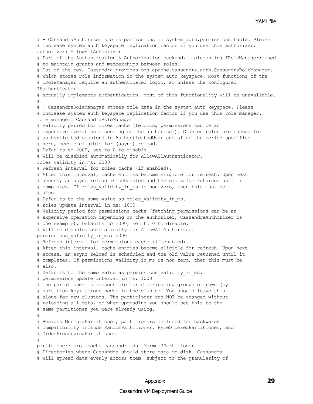# - CassandraAuthorizer stores permissions in system\_auth.permissions table. Please # increase system\_auth keyspace replication factor if you use this authorizer. authorizer: AllowAllAuthorizer # Part of the Authentication & Authorization backend, implementing IRoleManager; used # to maintain grants and memberships between roles. # Out of the box, Cassandra provides org.apache.cassandra.auth.CassandraRoleManager, # which stores role information in the system\_auth keyspace. Most functions of the # IRoleManager require an authenticated login, so unless the configured IAuthenticator # actually implements authentication, most of this functionality will be unavailable. # # - CassandraRoleManager stores role data in the system\_auth keyspace. Please # increase system\_auth keyspace replication factor if you use this role manager. role\_manager: CassandraRoleManager # Validity period for roles cache (fetching permissions can be an # expensive operation depending on the authorizer). Granted roles are cached for # authenticated sessions in AuthenticatedUser and after the period specified # here, become eligible for (async) reload. # Defaults to 2000, set to 0 to disable. # Will be disabled automatically for AllowAllAuthenticator. roles\_validity\_in\_ms: 2000 # Refresh interval for roles cache (if enabled). # After this interval, cache entries become eligible for refresh. Upon next # access, an async reload is scheduled and the old value returned until it # completes. If roles validity in ms is non-zero, then this must be # also. # Defaults to the same value as roles validity in ms. # roles update interval in ms: 1000 # Validity period for permissions cache (fetching permissions can be an # expensive operation depending on the authorizer, CassandraAuthorizer is # one example). Defaults to 2000, set to 0 to disable. # Will be disabled automatically for AllowAllAuthorizer. permissions\_validity\_in\_ms: 2000 # Refresh interval for permissions cache (if enabled). # After this interval, cache entries become eligible for refresh. Upon next # access, an async reload is scheduled and the old value returned until it # completes. If permissions validity in ms is non-zero, then this must be # also. # Defaults to the same value as permissions validity in ms. # permissions update interval in ms: 1000 # The partitioner is responsible for distributing groups of rows (by # partition key) across nodes in the cluster. You should leave this # alone for new clusters. The partitioner can NOT be changed without # reloading all data, so when upgrading you should set this to the # same partitioner you were already using. # # Besides Murmur3Partitioner, partitioners included for backwards # compatibility include RandomPartitioner, ByteOrderedPartitioner, and # OrderPreservingPartitioner. # partitioner: org.apache.cassandra.dht.Murmur3Partitioner # Directories where Cassandra should store data on disk. Cassandra # will spread data evenly across them, subject to the granularity of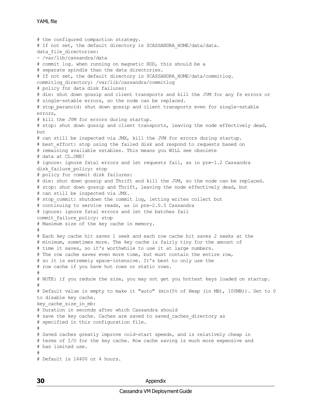#### YAML file

# the configured compaction strategy. # If not set, the default directory is \$CASSANDRA HOME/data/data. data file directories: - /var/lib/cassandra/data # commit log. when running on magnetic HDD, this should be a # separate spindle than the data directories. # If not set, the default directory is \$CASSANDRA\_HOME/data/commitlog. commitlog\_directory: /var/lib/cassandra/commitlog # policy for data disk failures: # die: shut down gossip and client transports and kill the JVM for any fs errors or # single-sstable errors, so the node can be replaced. # stop paranoid: shut down gossip and client transports even for single-sstable errors, # kill the JVM for errors during startup. # stop: shut down gossip and client transports, leaving the node effectively dead, but # can still be inspected via JMX, kill the JVM for errors during startup. # best effort: stop using the failed disk and respond to requests based on # remaining available sstables. This means you WILL see obsolete # data at CL.ONE! # ignore: ignore fatal errors and let requests fail, as in pre-1.2 Cassandra disk failure policy: stop # policy for commit disk failures: # die: shut down gossip and Thrift and kill the JVM, so the node can be replaced. # stop: shut down gossip and Thrift, leaving the node effectively dead, but # can still be inspected via JMX. # stop commit: shutdown the commit log, letting writes collect but # continuing to service reads, as in pre-2.0.5 Cassandra # ignore: ignore fatal errors and let the batches fail commit failure policy: stop # Maximum size of the key cache in memory. # # Each key cache hit saves 1 seek and each row cache hit saves 2 seeks at the # minimum, sometimes more. The key cache is fairly tiny for the amount of # time it saves, so it's worthwhile to use it at large numbers. # The row cache saves even more time, but must contain the entire row, # so it is extremely space-intensive. It's best to only use the # row cache if you have hot rows or static rows. # # NOTE: if you reduce the size, you may not get you hottest keys loaded on startup. # # Default value is empty to make it "auto" (min(5% of Heap (in MB), 100MB)). Set to 0 to disable key cache. key cache size in mb: # Duration in seconds after which Cassandra should # save the key cache. Caches are saved to saved caches directory as # specified in this configuration file. # # Saved caches greatly improve cold-start speeds, and is relatively cheap in # terms of I/O for the key cache. Row cache saving is much more expensive and # has limited use. # # Default is 14400 or 4 hours.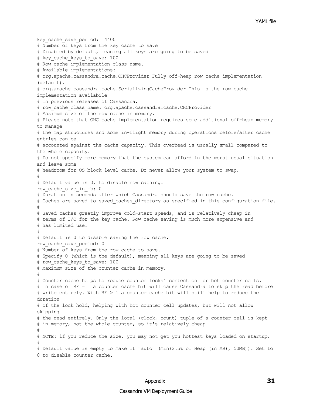key cache save period: 14400 # Number of keys from the key cache to save # Disabled by default, meaning all keys are going to be saved # key\_cache\_keys\_to\_save: 100 # Row cache implementation class name. # Available implementations: # org.apache.cassandra.cache.OHCProvider Fully off-heap row cache implementation (default). # org.apache.cassandra.cache.SerializingCacheProvider This is the row cache implementation availabile # in previous releases of Cassandra. # row\_cache\_class\_name: org.apache.cassandra.cache.OHCProvider # Maximum size of the row cache in memory. # Please note that OHC cache implementation requires some additional off-heap memory to manage # the map structures and some in-flight memory during operations before/after cache entries can be # accounted against the cache capacity. This overhead is usually small compared to the whole capacity. # Do not specify more memory that the system can afford in the worst usual situation and leave some # headroom for OS block level cache. Do never allow your system to swap. # # Default value is 0, to disable row caching. row cache size in mb: 0 # Duration in seconds after which Cassandra should save the row cache. # Caches are saved to saved caches directory as specified in this configuration file. # # Saved caches greatly improve cold-start speeds, and is relatively cheap in # terms of I/O for the key cache. Row cache saving is much more expensive and # has limited use. # # Default is 0 to disable saving the row cache. row\_cache\_save\_period: 0 # Number of keys from the row cache to save. # Specify 0 (which is the default), meaning all keys are going to be saved # row cache keys to save: 100 # Maximum size of the counter cache in memory. # # Counter cache helps to reduce counter locks' contention for hot counter cells. # In case of RF = 1 a counter cache hit will cause Cassandra to skip the read before # write entirely. With RF > 1 a counter cache hit will still help to reduce the duration # of the lock hold, helping with hot counter cell updates, but will not allow skipping # the read entirely. Only the local (clock, count) tuple of a counter cell is kept # in memory, not the whole counter, so it's relatively cheap. # # NOTE: if you reduce the size, you may not get you hottest keys loaded on startup. # # Default value is empty to make it "auto" (min(2.5% of Heap (in MB), 50MB)). Set to 0 to disable counter cache.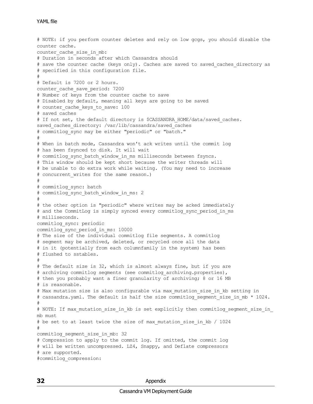#### YAML file

```
# NOTE: if you perform counter deletes and rely on low gcgs, you should disable the
counter cache.
counter cache size in mb:
# Duration in seconds after which Cassandra should
# save the counter cache (keys only). Caches are saved to saved caches directory as
# specified in this configuration file.
#
# Default is 7200 or 2 hours.
counter cache save period: 7200
# Number of keys from the counter cache to save
# Disabled by default, meaning all keys are going to be saved
# counter cache keys to save: 100
# saved caches
# If not set, the default directory is $CASSANDRA HOME/data/saved caches.
saved caches directory: /var/lib/cassandra/saved caches
# commitlog sync may be either "periodic" or "batch."
#
# When in batch mode, Cassandra won't ack writes until the commit log
# has been fsynced to disk. It will wait
# commitlog sync batch window in ms milliseconds between fsyncs.
# This window should be kept short because the writer threads will
# be unable to do extra work while waiting. (You may need to increase
# concurrent writes for the same reason.)
#
# commitlog_sync: batch
# commitlog sync batch window in ms: 2
#
# the other option is "periodic" where writes may be acked immediately
# and the CommitLog is simply synced every commitlog sync period in ms
# milliseconds.
commitlog_sync: periodic
commitlog_sync_period_in_ms: 10000
# The size of the individual commitlog file segments. A commitlog
# segment may be archived, deleted, or recycled once all the data
# in it (potentially from each columnfamily in the system) has been
# flushed to sstables.
#
# The default size is 32, which is almost always fine, but if you are
# archiving commitlog segments (see commitlog archiving.properties),
# then you probably want a finer granularity of archiving; 8 or 16 MB
# is reasonable.
# Max mutation size is also configurable via max mutation size in kb setting in
# cassandra.yaml. The default is half the size commitlog segment size in mb * 1024.
#
# NOTE: If max mutation size in kb is set explicitly then commitlog segment size in
mb must
# be set to at least twice the size of max mutation size in kb / 1024
#
commitlog_segment_size_in_mb: 32
# Compression to apply to the commit log. If omitted, the commit log
# will be written uncompressed. LZ4, Snappy, and Deflate compressors
# are supported.
#commitlog_compression:
```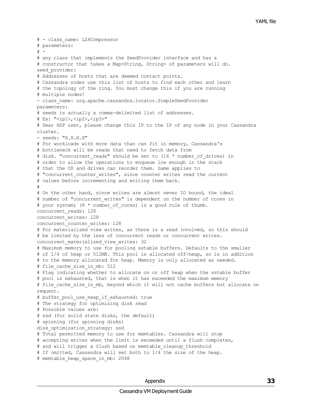```
# - class_name: LZ4Compressor
# parameters:
\# \, -# any class that implements the SeedProvider interface and has a
# constructor that takes a Map<String, String> of parameters will do.
seed provider:
# Addresses of hosts that are deemed contact points.
# Cassandra nodes use this list of hosts to find each other and learn
# the topology of the ring. You must change this if you are running
# multiple nodes!
- class name: org.apache.cassandra.locator.SimpleSeedProvider
parameters:
# seeds is actually a comma-delimited list of addresses.
# Ex: "<ip1>,<ip2>,<ip3>"
# Dear HSP user, please change this IP to the IP of any node in your Cassandra
cluster.
- seeds: "X.X.X.X"
# For workloads with more data than can fit in memory, Cassandra's
# bottleneck will be reads that need to fetch data from
# disk. "concurrent reads" should be set to (16 * number of drives) in
# order to allow the operations to enqueue low enough in the stack
# that the OS and drives can reorder them. Same applies to
# "concurrent counter writes", since counter writes read the current
# values before incrementing and writing them back.
#
# On the other hand, since writes are almost never IO bound, the ideal
# number of "concurrent_writes" is dependent on the number of cores in
# your system; (8 * number of cores) is a good rule of thumb.
concurrent_reads: 128
concurrent_writes: 128
concurrent counter writes: 128
# For materialized view writes, as there is a read involved, so this should
# be limited by the less of concurrent reads or concurrent writes.
concurrent materialized view writes: 32
# Maximum memory to use for pooling sstable buffers. Defaults to the smaller
# of 1/4 of heap or 512MB. This pool is allocated off-heap, so is in addition
# to the memory allocated for heap. Memory is only allocated as needed.
# file cache size in mb: 512
# Flag indicating whether to allocate on or off heap when the sstable buffer
# pool is exhausted, that is when it has exceeded the maximum memory
# file cache size in mb, beyond which it will not cache buffers but allocate on
request.
# buffer pool use heap if exhausted: true
# The strategy for optimizing disk read
# Possible values are:
# ssd (for solid state disks, the default)
# spinning (for spinning disks)
disk optimization strategy: ssd
# Total permitted memory to use for memtables. Cassandra will stop
# accepting writes when the limit is exceeded until a flush completes,
# and will trigger a flush based on memtable cleanup threshold
# If omitted, Cassandra will set both to 1/4 the size of the heap.
# memtable heap space in mb: 2048
```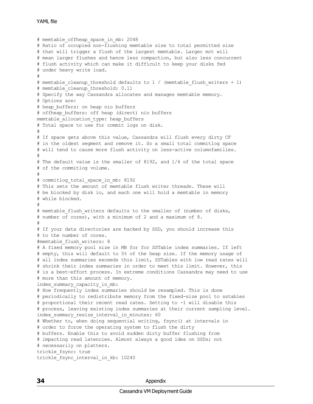```
# memtable offheap space in mb: 2048
# Ratio of occupied non-flushing memtable size to total permitted size
# that will trigger a flush of the largest memtable. Larger mct will
# mean larger flushes and hence less compaction, but also less concurrent
# flush activity which can make it difficult to keep your disks fed
# under heavy write load.
#
# memtable cleanup threshold defaults to 1 / (memtable flush writers + 1)
# memtable cleanup threshold: 0.11
# Specify the way Cassandra allocates and manages memtable memory.
# Options are:
# heap_buffers: on heap nio buffers
# offheap_buffers: off heap (direct) nio buffers
memtable allocation type: heap buffers
# Total space to use for commit logs on disk.
#
# If space gets above this value, Cassandra will flush every dirty CF
# in the oldest segment and remove it. So a small total commitlog space
# will tend to cause more flush activity on less-active columnfamilies.
#
# The default value is the smaller of 8192, and 1/4 of the total space
# of the commitlog volume.
#
# commitlog total space in mb: 8192
# This sets the amount of memtable flush writer threads. These will
# be blocked by disk io, and each one will hold a memtable in memory
# while blocked.
#
# memtable flush writers defaults to the smaller of (number of disks,
# number of cores), with a minimum of 2 and a maximum of 8.
#
# If your data directories are backed by SSD, you should increase this
# to the number of cores.
#memtable flush writers: 8
# A fixed memory pool size in MB for for SSTable index summaries. If left
# empty, this will default to 5% of the heap size. If the memory usage of
# all index summaries exceeds this limit, SSTables with low read rates will
# shrink their index summaries in order to meet this limit. However, this
# is a best-effort process. In extreme conditions Cassandra may need to use
# more than this amount of memory.
index summary capacity in mb:
# How frequently index summaries should be resampled. This is done
# periodically to redistribute memory from the fixed-size pool to sstables
# proportional their recent read rates. Setting to -1 will disable this
# process, leaving existing index summaries at their current sampling level.
index summary resize interval in minutes: 60
# Whether to, when doing sequential writing, fsync() at intervals in
# order to force the operating system to flush the dirty
# buffers. Enable this to avoid sudden dirty buffer flushing from
# impacting read latencies. Almost always a good idea on SSDs; not
# necessarily on platters.
trickle_fsync: true
trickle fsync interval in kb: 10240
```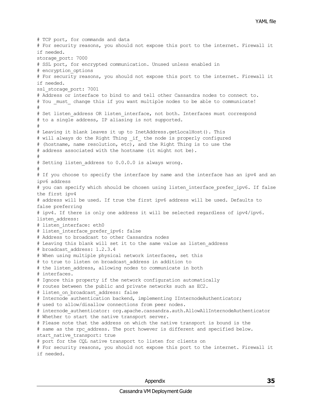# TCP port, for commands and data # For security reasons, you should not expose this port to the internet. Firewall it if needed. storage port: 7000 # SSL port, for encrypted communication. Unused unless enabled in # encryption\_options # For security reasons, you should not expose this port to the internet. Firewall it if needed. ssl\_storage\_port: 7001 # Address or interface to bind to and tell other Cassandra nodes to connect to. # You must change this if you want multiple nodes to be able to communicate! # # Set listen address OR listen interface, not both. Interfaces must correspond # to a single address, IP aliasing is not supported. # # Leaving it blank leaves it up to InetAddress.getLocalHost(). This # will always do the Right Thing \_if\_ the node is properly configured # (hostname, name resolution, etc), and the Right Thing is to use the # address associated with the hostname (it might not be). # # Setting listen address to 0.0.0.0 is always wrong. # # If you choose to specify the interface by name and the interface has an ipv4 and an ipv6 address # you can specify which should be chosen using listen interface prefer ipv6. If false the first ipv4 # address will be used. If true the first ipv6 address will be used. Defaults to false preferring # ipv4. If there is only one address it will be selected regardless of ipv4/ipv6. listen address: # listen interface: eth0 # listen interface prefer ipv6: false # Address to broadcast to other Cassandra nodes # Leaving this blank will set it to the same value as listen\_address # broadcast\_address: 1.2.3.4 # When using multiple physical network interfaces, set this # to true to listen on broadcast address in addition to # the listen\_address, allowing nodes to communicate in both # interfaces. # Ignore this property if the network configuration automatically # routes between the public and private networks such as EC2. # listen on broadcast address: false # Internode authentication backend, implementing IInternodeAuthenticator; # used to allow/disallow connections from peer nodes. # internode authenticator: org.apache.cassandra.auth.AllowAllInternodeAuthenticator # Whether to start the native transport server. # Please note that the address on which the native transport is bound is the # same as the rpc address. The port however is different and specified below. start native transport: true # port for the CQL native transport to listen for clients on # For security reasons, you should not expose this port to the internet. Firewall it if needed.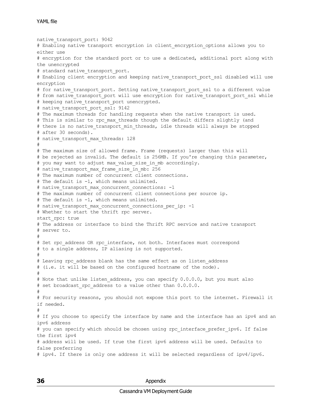```
native transport port: 9042
# Enabling native transport encryption in client_encryption_options allows you to
either use
# encryption for the standard port or to use a dedicated, additional port along with
the unencrypted
# standard native transport port.
# Enabling client encryption and keeping native transport port ssl disabled will use
encryption
# for native transport port. Setting native transport port ssl to a different value
# from native transport port will use encryption for native transport port ssl while
# keeping native transport port unencrypted.
# native transport port ssl: 9142
# The maximum threads for handling requests when the native transport is used.
# This is similar to rpc_max_threads though the default differs slightly (and
# there is no native transport min threads, idle threads will always be stopped
# after 30 seconds).
# native transport max threads: 128
#
# The maximum size of allowed frame. Frame (requests) larger than this will
# be rejected as invalid. The default is 256MB. If you're changing this parameter,
# you may want to adjust max value size in mb accordingly.
# native transport max frame size in mb: 256
# The maximum number of concurrent client connections.
# The default is -1, which means unlimited.
# native transport max concurrent connections: -1
# The maximum number of concurrent client connections per source ip.
# The default is -1, which means unlimited.
# native transport max concurrent connections per ip: -1
# Whether to start the thrift rpc server.
start rpc: true
# The address or interface to bind the Thrift RPC service and native transport
# server to.
#
# Set rpc address OR rpc interface, not both. Interfaces must correspond
# to a single address, IP aliasing is not supported.
#
# Leaving rpc_address blank has the same effect as on listen_address
# (i.e. it will be based on the configured hostname of the node).
#
# Note that unlike listen address, you can specify 0.0.0.0, but you must also
# set broadcast rpc address to a value other than 0.0.0.0.
#
# For security reasons, you should not expose this port to the internet. Firewall it
if needed.
#
# If you choose to specify the interface by name and the interface has an ipv4 and an
ipv6 address
# you can specify which should be chosen using rpc interface prefer ipv6. If false
the first ipv4
# address will be used. If true the first ipv6 address will be used. Defaults to
false preferring
# ipv4. If there is only one address it will be selected regardless of ipv4/ipv6.
```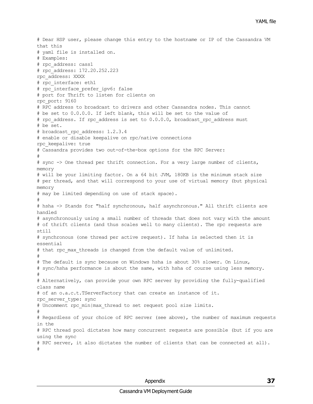# Dear HSP user, please change this entry to the hostname or IP of the Cassandra VM that this # yaml file is installed on. # Examples: # rpc\_address: cass1 # rpc\_address: 172.20.252.223 rpc\_address: XXXX # rpc\_interface: eth1 # rpc interface prefer ipv6: false # port for Thrift to listen for clients on rpc\_port: 9160 # RPC address to broadcast to drivers and other Cassandra nodes. This cannot # be set to 0.0.0.0. If left blank, this will be set to the value of # rpc address. If rpc address is set to 0.0.0.0, broadcast rpc address must # be set. # broadcast rpc address: 1.2.3.4 # enable or disable keepalive on rpc/native connections rpc\_keepalive: true # Cassandra provides two out-of-the-box options for the RPC Server: # # sync -> One thread per thrift connection. For a very large number of clients, memory # will be your limiting factor. On a 64 bit JVM, 180KB is the minimum stack size # per thread, and that will correspond to your use of virtual memory (but physical memory # may be limited depending on use of stack space). # # hsha -> Stands for "half synchronous, half asynchronous." All thrift clients are handled # asynchronously using a small number of threads that does not vary with the amount # of thrift clients (and thus scales well to many clients). The rpc requests are still # synchronous (one thread per active request). If hsha is selected then it is essential # that rpc max threads is changed from the default value of unlimited. # # The default is sync because on Windows hsha is about 30% slower. On Linux, # sync/hsha performance is about the same, with hsha of course using less memory. # # Alternatively, can provide your own RPC server by providing the fully-qualified class name # of an o.a.c.t.TServerFactory that can create an instance of it. rpc\_server\_type: sync # Uncomment rpc min|max thread to set request pool size limits. # # Regardless of your choice of RPC server (see above), the number of maximum requests in the # RPC thread pool dictates how many concurrent requests are possible (but if you are using the sync # RPC server, it also dictates the number of clients that can be connected at all). #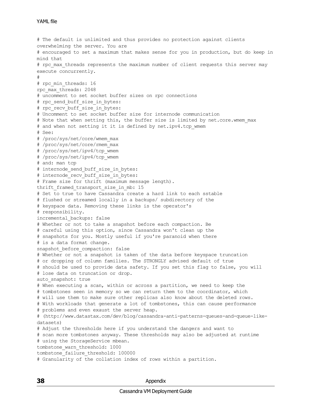```
# The default is unlimited and thus provides no protection against clients
overwhelming the server. You are
# encouraged to set a maximum that makes sense for you in production, but do keep in
mind that
# rpc max threads represents the maximum number of client requests this server may
execute concurrently.
#
# rpc min threads: 16
rpc_max_threads: 2048
# uncomment to set socket buffer sizes on rpc connections
# rpc send buff size in bytes:
# rpc recv buff size in bytes:
# Uncomment to set socket buffer size for internode communication
# Note that when setting this, the buffer size is limited by net.core.wmem max
# and when not setting it it is defined by net.ipv4.tcp wmem
# See:
# /proc/sys/net/core/wmem_max
# /proc/sys/net/core/rmem_max
# /proc/sys/net/ipv4/tcp_wmem
# /proc/sys/net/ipv4/tcp_wmem
# and: man tcp
# internode send buff size in bytes:
# internode recv buff size in bytes:
# Frame size for thrift (maximum message length).
thrift framed transport size in mb: 15
# Set to true to have Cassandra create a hard link to each sstable
# flushed or streamed locally in a backups/ subdirectory of the
# keyspace data. Removing these links is the operator's
# responsibility.
incremental_backups: false
# Whether or not to take a snapshot before each compaction. Be
# careful using this option, since Cassandra won't clean up the
# snapshots for you. Mostly useful if you're paranoid when there
# is a data format change.
snapshot before compaction: false
# Whether or not a snapshot is taken of the data before keyspace truncation
# or dropping of column families. The STRONGLY advised default of true
# should be used to provide data safety. If you set this flag to false, you will
# lose data on truncation or drop.
auto snapshot: true
# When executing a scan, within or across a partition, we need to keep the
# tombstones seen in memory so we can return them to the coordinator, which
# will use them to make sure other replicas also know about the deleted rows.
# With workloads that generate a lot of tombstones, this can cause performance
# problems and even exaust the server heap.
# (http://www.datastax.com/dev/blog/cassandra-anti-patterns-queues-and-queue-like-
datasets)
# Adjust the thresholds here if you understand the dangers and want to
# scan more tombstones anyway. These thresholds may also be adjusted at runtime
# using the StorageService mbean.
tombstone_warn_threshold: 1000
tombstone_failure_threshold: 100000
# Granularity of the collation index of rows within a partition.
```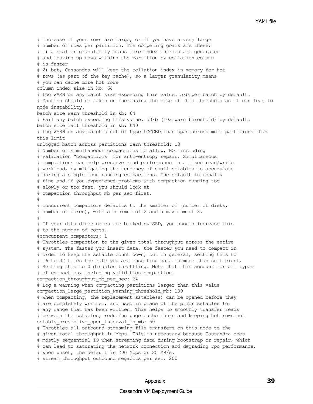# Increase if your rows are large, or if you have a very large # number of rows per partition. The competing goals are these: # 1) a smaller granularity means more index entries are generated # and looking up rows withing the partition by collation column # is faster # 2) but, Cassandra will keep the collation index in memory for hot # rows (as part of the key cache), so a larger granularity means # you can cache more hot rows column\_index\_size\_in\_kb: 64 # Log WARN on any batch size exceeding this value. 5kb per batch by default. # Caution should be taken on increasing the size of this threshold as it can lead to node instability. batch size warn threshold in kb: 64 # Fail any batch exceeding this value. 50kb (10x warn threshold) by default. batch size fail threshold in kb: 640 # Log WARN on any batches not of type LOGGED than span across more partitions than this limit unlogged batch across partitions warn threshold: 10 # Number of simultaneous compactions to allow, NOT including # validation "compactions" for anti-entropy repair. Simultaneous # compactions can help preserve read performance in a mixed read/write # workload, by mitigating the tendency of small sstables to accumulate # during a single long running compactions. The default is usually # fine and if you experience problems with compaction running too # slowly or too fast, you should look at # compaction throughput mb per sec first. # # concurrent compactors defaults to the smaller of (number of disks, # number of cores), with a minimum of 2 and a maximum of 8. # # If your data directories are backed by SSD, you should increase this # to the number of cores. #concurrent compactors: 1 # Throttles compaction to the given total throughput across the entire # system. The faster you insert data, the faster you need to compact in # order to keep the sstable count down, but in general, setting this to # 16 to 32 times the rate you are inserting data is more than sufficient. # Setting this to 0 disables throttling. Note that this account for all types # of compaction, including validation compaction. compaction throughput mb per sec: 64 # Log a warning when compacting partitions larger than this value compaction\_large\_partition\_warning\_threshold\_mb: 100 # When compacting, the replacement sstable(s) can be opened before they # are completely written, and used in place of the prior sstables for # any range that has been written. This helps to smoothly transfer reads # between the sstables, reducing page cache churn and keeping hot rows hot sstable preemptive open interval in mb: 50 # Throttles all outbound streaming file transfers on this node to the # given total throughput in Mbps. This is necessary because Cassandra does # mostly sequential IO when streaming data during bootstrap or repair, which # can lead to saturating the network connection and degrading rpc performance. # When unset, the default is 200 Mbps or 25 MB/s. # stream throughput outbound megabits per sec: 200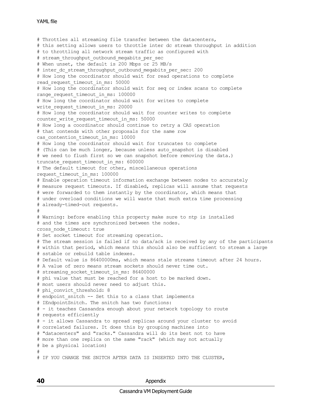```
# Throttles all streaming file transfer between the datacenters,
# this setting allows users to throttle inter dc stream throughput in addition
# to throttling all network stream traffic as configured with
# stream throughput outbound megabits per sec
# When unset, the default is 200 Mbps or 25 MB/s
# inter dc stream throughput outbound megabits per sec: 200
# How long the coordinator should wait for read operations to complete
read_request_timeout_in_ms: 50000
# How long the coordinator should wait for seq or index scans to complete
range request timeout in ms: 100000
# How long the coordinator should wait for writes to complete
write request timeout in ms: 20000
# How long the coordinator should wait for counter writes to complete
counter write request timeout in ms: 50000
# How long a coordinator should continue to retry a CAS operation
# that contends with other proposals for the same row
cas contention timeout in ms: 10000
# How long the coordinator should wait for truncates to complete
# (This can be much longer, because unless auto_snapshot is disabled
# we need to flush first so we can snapshot before removing the data.)
truncate request timeout in ms: 600000
# The default timeout for other, miscellaneous operations
request_timeout_in_ms: 100000
# Enable operation timeout information exchange between nodes to accurately
# measure request timeouts. If disabled, replicas will assume that requests
# were forwarded to them instantly by the coordinator, which means that
# under overload conditions we will waste that much extra time processing
# already-timed-out requests.
#
# Warning: before enabling this property make sure to ntp is installed
# and the times are synchronized between the nodes.
cross_node_timeout: true
# Set socket timeout for streaming operation.
# The stream session is failed if no data/ack is received by any of the participants
# within that period, which means this should also be sufficient to stream a large
# sstable or rebuild table indexes.
# Default value is 86400000ms, which means stale streams timeout after 24 hours.
# A value of zero means stream sockets should never time out.
# streaming socket timeout in ms: 86400000
# phi value that must be reached for a host to be marked down.
# most users should never need to adjust this.
# phi_convict_threshold: 8
# endpoint snitch -- Set this to a class that implements
# IEndpointSnitch. The snitch has two functions:
# - it teaches Cassandra enough about your network topology to route
# requests efficiently
# - it allows Cassandra to spread replicas around your cluster to avoid
# correlated failures. It does this by grouping machines into
# "datacenters" and "racks." Cassandra will do its best not to have
# more than one replica on the same "rack" (which may not actually
# be a physical location)
#
# IF YOU CHANGE THE SNITCH AFTER DATA IS INSERTED INTO THE CLUSTER,
```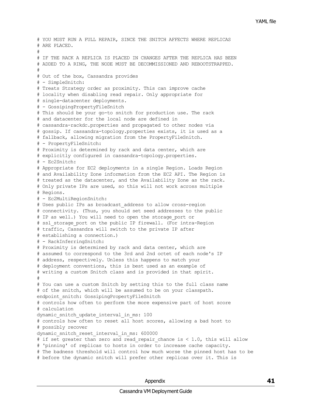# YOU MUST RUN A FULL REPAIR, SINCE THE SNITCH AFFECTS WHERE REPLICAS # ARE PLACED. # # IF THE RACK A REPLICA IS PLACED IN CHANGES AFTER THE REPLICA HAS BEEN # ADDED TO A RING, THE NODE MUST BE DECOMMISSIONED AND REBOOTSTRAPPED. # # Out of the box, Cassandra provides # - SimpleSnitch: # Treats Strategy order as proximity. This can improve cache # locality when disabling read repair. Only appropriate for # single-datacenter deployments. # - GossipingPropertyFileSnitch # This should be your go-to snitch for production use. The rack # and datacenter for the local node are defined in # cassandra-rackdc.properties and propagated to other nodes via # gossip. If cassandra-topology.properties exists, it is used as a # fallback, allowing migration from the PropertyFileSnitch. # - PropertyFileSnitch: # Proximity is determined by rack and data center, which are # explicitly configured in cassandra-topology.properties. # - Ec2Snitch: # Appropriate for EC2 deployments in a single Region. Loads Region # and Availability Zone information from the EC2 API. The Region is # treated as the datacenter, and the Availability Zone as the rack. # Only private IPs are used, so this will not work across multiple # Regions. # - Ec2MultiRegionSnitch: # Uses public IPs as broadcast\_address to allow cross-region # connectivity. (Thus, you should set seed addresses to the public # IP as well.) You will need to open the storage port or # ssl storage port on the public IP firewall. (For intra-Region # traffic, Cassandra will switch to the private IP after # establishing a connection.) # - RackInferringSnitch: # Proximity is determined by rack and data center, which are # assumed to correspond to the 3rd and 2nd octet of each node's IP # address, respectively. Unless this happens to match your # deployment conventions, this is best used as an example of # writing a custom Snitch class and is provided in that spirit. # # You can use a custom Snitch by setting this to the full class name # of the snitch, which will be assumed to be on your classpath. endpoint snitch: GossipingPropertyFileSnitch # controls how often to perform the more expensive part of host score # calculation dynamic snitch update interval in ms: 100 # controls how often to reset all host scores, allowing a bad host to # possibly recover dynamic snitch reset interval in ms: 600000 # if set greater than zero and read repair chance is < 1.0, this will allow # 'pinning' of replicas to hosts in order to increase cache capacity. # The badness threshold will control how much worse the pinned host has to be # before the dynamic snitch will prefer other replicas over it. This is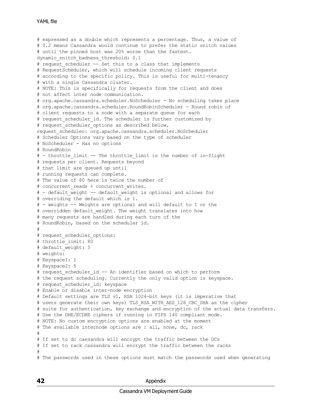```
# expressed as a double which represents a percentage. Thus, a value of
# 0.2 means Cassandra would continue to prefer the static snitch values
# until the pinned host was 20% worse than the fastest.
dynamic snitch badness threshold: 0.1
# request scheduler -- Set this to a class that implements
# RequestScheduler, which will schedule incoming client requests
# according to the specific policy. This is useful for multi-tenancy
# with a single Cassandra cluster.
# NOTE: This is specifically for requests from the client and does
# not affect inter node communication.
# org.apache.cassandra.scheduler.NoScheduler - No scheduling takes place
# org.apache.cassandra.scheduler.RoundRobinScheduler - Round robin of
# client requests to a node with a separate queue for each
# request scheduler id. The scheduler is further customized by
# request scheduler options as described below.
request scheduler: org.apache.cassandra.scheduler.NoScheduler
# Scheduler Options vary based on the type of scheduler
# NoScheduler - Has no options
# RoundRobin
# - throttle_limit -- The throttle_limit is the number of in-flight
# requests per client. Requests beyond
# that limit are queued up until
# running requests can complete.
# The value of 80 here is twice the number of
# concurrent reads + concurrent writes.
# - default_weight -- default_weight is optional and allows for
# overriding the default which is 1.
# - weights -- Weights are optional and will default to 1 or the
# overridden default weight. The weight translates into how
# many requests are handled during each turn of the
# RoundRobin, based on the scheduler id.
#
# request scheduler options:
# throttle_limit: 80
# default weight: 5
# weights:
# Keyspace1: 1
# Keyspace2: 5
# request scheduler id -- An identifier based on which to perform
# the request scheduling. Currently the only valid option is keyspace.
# request scheduler id: keyspace
# Enable or disable inter-node encryption
# Default settings are TLS v1, RSA 1024-bit keys (it is imperative that
# users generate their own keys) TLS_RSA_WITH_AES_128_CBC_SHA as the cipher
# suite for authentication, key exchange and encryption of the actual data transfers.
# Use the DHE/ECDHE ciphers if running in FIPS 140 compliant mode.
# NOTE: No custom encryption options are enabled at the moment
# The available internode options are : all, none, dc, rack
#
# If set to dc cassandra will encrypt the traffic between the DCs
# If set to rack cassandra will encrypt the traffic between the racks
#
# The passwords used in these options must match the passwords used when generating
```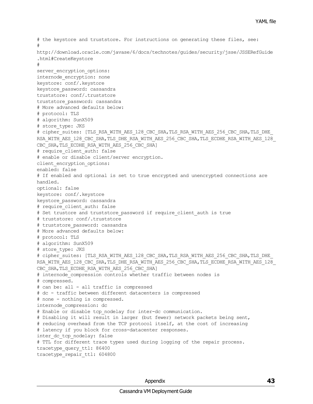```
# the keystore and truststore. For instructions on generating these files, see:
#
http://download.oracle.com/javase/6/docs/technotes/guides/security/jsse/JSSERefGuide
.html#CreateKeystore
#
server encryption options:
internode_encryption: none
keystore: conf/.keystore
keystore password: cassandra
truststore: conf/.truststore
truststore password: cassandra
# More advanced defaults below:
# protocol: TLS
# algorithm: SunX509
# store_type: JKS
# cipher suites: [TLS_RSA_WITH_AES_128_CBC_SHA,TLS_RSA_WITH_AES_256_CBC_SHA,TLS_DHE
RSA_WITH_AES_128_CBC_SHA,TLS_DHE_RSA_WITH_AES_256_CBC_SHA,TLS_ECDHE_RSA_WITH_AES_128
CBC_SHA, TLS_ECDHE_RSA_WITH_AES_256_CBC_SHA]
# require client auth: false
# enable or disable client/server encryption.
client encryption options:
enabled: false
# If enabled and optional is set to true encrypted and unencrypted connections are
handled.
optional: false
keystore: conf/.keystore
keystore_password: cassandra
# require client auth: false
# Set trustore and truststore password if require client auth is true
# truststore: conf/.truststore
# truststore password: cassandra
# More advanced defaults below:
# protocol: TLS
# algorithm: SunX509
# store_type: JKS
# cipher suites: [TLS_RSA_WITH_AES_128_CBC_SHA,TLS_RSA_WITH_AES_256_CBC_SHA,TLS_DHE
RSA_WITH_AES_128_CBC_SHA,TLS_DHE_RSA_WITH_AES_256_CBC_SHA,TLS_ECDHE_RSA_WITH_AES_128
CBC_SHA, TLS_ECDHE_RSA_WITH_AES_256_CBC_SHA]
# internode_compression controls whether traffic between nodes is
# compressed.
# can be: all - all traffic is compressed
# dc - traffic between different datacenters is compressed
# none - nothing is compressed.
internode_compression: dc
# Enable or disable tcp nodelay for inter-dc communication.
# Disabling it will result in larger (but fewer) network packets being sent,
# reducing overhead from the TCP protocol itself, at the cost of increasing
# latency if you block for cross-datacenter responses.
inter dc tcp nodelay: false
# TTL for different trace types used during logging of the repair process.
tracetype query ttl: 86400
tracetype repair ttl: 604800
```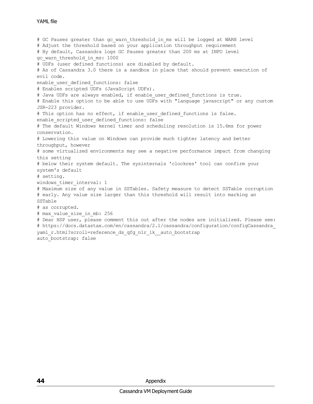# GC Pauses greater than gc warn threshold in ms will be logged at WARN level # Adjust the threshold based on your application throughput requirement # By default, Cassandra logs GC Pauses greater than 200 ms at INFO level gc warn threshold in ms: 1000 # UDFs (user defined functions) are disabled by default. # As of Cassandra 3.0 there is a sandbox in place that should prevent execution of evil code. enable user defined functions: false # Enables scripted UDFs (JavaScript UDFs). # Java UDFs are always enabled, if enable user defined functions is true. # Enable this option to be able to use UDFs with "language javascript" or any custom JSR-223 provider. # This option has no effect, if enable user defined functions is false. enable scripted user defined functions: false # The default Windows kernel timer and scheduling resolution is 15.6ms for power conservation. # Lowering this value on Windows can provide much tighter latency and better throughput, however # some virtualized environments may see a negative performance impact from changing this setting # below their system default. The sysinternals 'clockres' tool can confirm your system's default # setting. windows timer interval: 1 # Maximum size of any value in SSTables. Safety measure to detect SSTable corruption # early. Any value size larger than this threshold will result into marking an SSTable # as corrupted. # max\_value\_size\_in\_mb: 256 # Dear HSP user, please comment this out after the nodes are initialized. Please see: # https://docs.datastax.com/en/cassandra/2.1/cassandra/configuration/configCassandra\_ yaml r.html?scroll=reference ds qfg n1r 1k auto bootstrap auto bootstrap: false